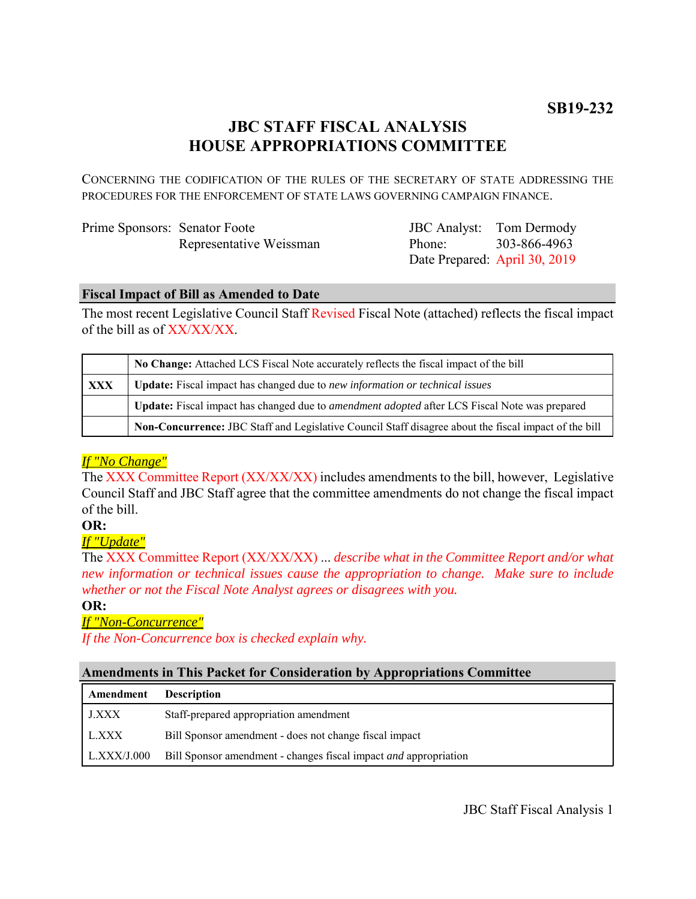# **JBC STAFF FISCAL ANALYSIS HOUSE APPROPRIATIONS COMMITTEE**

CONCERNING THE CODIFICATION OF THE RULES OF THE SECRETARY OF STATE ADDRESSING THE PROCEDURES FOR THE ENFORCEMENT OF STATE LAWS GOVERNING CAMPAIGN FINANCE.

| Prime Sponsors: Senator Foote |                         |  |
|-------------------------------|-------------------------|--|
|                               | Representative Weissman |  |

JBC Analyst: Tom Dermody Phone: Date Prepared: April 30, 2019 303-866-4963

### **Fiscal Impact of Bill as Amended to Date**

The most recent Legislative Council Staff Revised Fiscal Note (attached) reflects the fiscal impact of the bill as of XX/XX/XX.

|            | No Change: Attached LCS Fiscal Note accurately reflects the fiscal impact of the bill                       |  |
|------------|-------------------------------------------------------------------------------------------------------------|--|
| <b>XXX</b> | <b>Update:</b> Fiscal impact has changed due to new information or technical issues                         |  |
|            | <b>Update:</b> Fiscal impact has changed due to <i>amendment adopted</i> after LCS Fiscal Note was prepared |  |
|            | Non-Concurrence: JBC Staff and Legislative Council Staff disagree about the fiscal impact of the bill       |  |

# *If "No Change"*

The XXX Committee Report (XX/XX/XX) includes amendments to the bill, however, Legislative Council Staff and JBC Staff agree that the committee amendments do not change the fiscal impact of the bill.

#### **OR:**

*If "Update"*

The XXX Committee Report (XX/XX/XX) ... *describe what in the Committee Report and/or what new information or technical issues cause the appropriation to change. Make sure to include whether or not the Fiscal Note Analyst agrees or disagrees with you.*

#### **OR:**

# *If "Non-Concurrence"*

*If the Non-Concurrence box is checked explain why.* 

# **Amendments in This Packet for Consideration by Appropriations Committee**

| Amendment    | <b>Description</b>                                                      |
|--------------|-------------------------------------------------------------------------|
| <b>J.XXX</b> | Staff-prepared appropriation amendment                                  |
| L.XXX        | Bill Sponsor amendment - does not change fiscal impact                  |
| LLXXX/J.000  | Bill Sponsor amendment - changes fiscal impact <i>and</i> appropriation |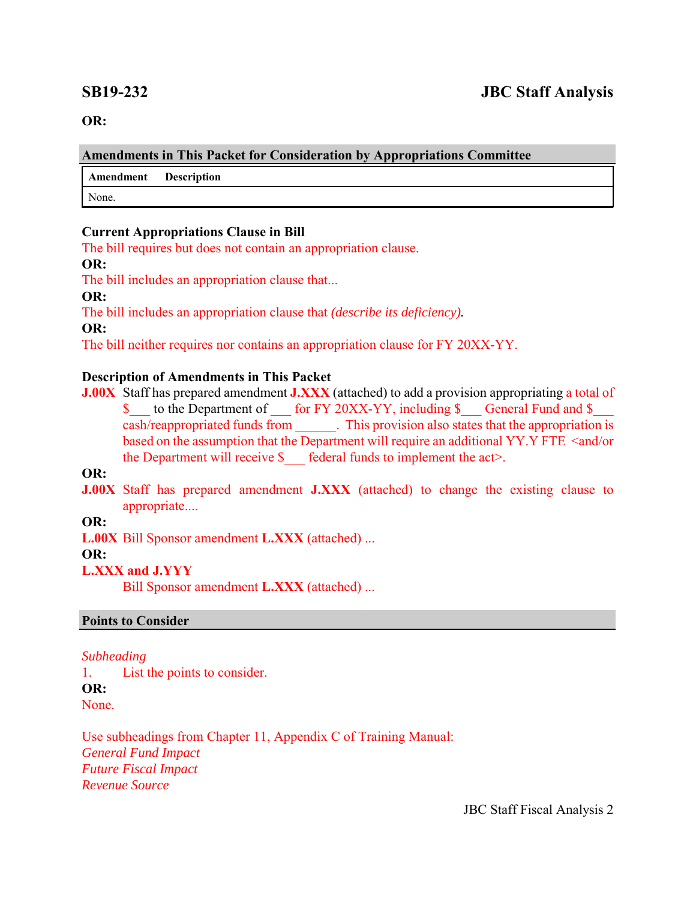**OR:**

#### **Amendments in This Packet for Consideration by Appropriations Committee**

**Amendment Description**

None.

### **Current Appropriations Clause in Bill**

The bill requires but does not contain an appropriation clause.

### **OR:**

The bill includes an appropriation clause that...

**OR:**

The bill includes an appropriation clause that *(describe its deficiency).*

**OR:**

The bill neither requires nor contains an appropriation clause for FY 20XX-YY.

# **Description of Amendments in This Packet**

**J.00X** Staff has prepared amendment **J.XXX** (attached) to add a provision appropriating a total of \$ to the Department of for FY 20XX-YY, including \$ General Fund and \$ cash/reappropriated funds from \_\_\_\_\_\_. This provision also states that the appropriation is based on the assumption that the Department will require an additional YY.Y FTE <and/or the Department will receive  $\S$  federal funds to implement the act>.

**OR:**

**J.00X** Staff has prepared amendment **J.XXX** (attached) to change the existing clause to appropriate....

**OR:**

**L.00X** Bill Sponsor amendment **L.XXX** (attached) ...

**OR:**

# **L.XXX and J.YYY**

Bill Sponsor amendment **L.XXX** (attached) ...

# **Points to Consider**

# *Subheading*

1. List the points to consider. **OR:** None.

Use subheadings from Chapter 11, Appendix C of Training Manual: *General Fund Impact Future Fiscal Impact Revenue Source* 

JBC Staff Fiscal Analysis 2